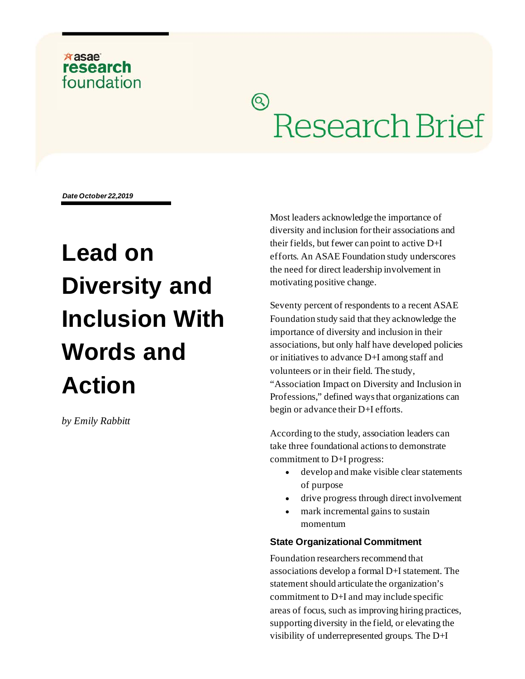

## $\circledS$ **Research Brief**

*Date October 22,2019*

# **Lead on Diversity and Inclusion With Words and Action**

*by Emily Rabbitt*

Most leaders acknowledge the importance of diversity and inclusion for their associations and their fields, but fewer can point to active D+I efforts. An ASAE Foundation study underscores the need for direct leadership involvement in motivating positive change.

Seventy percent of respondents to a recent ASAE Foundation study said that they acknowledge the importance of diversity and inclusion in their associations, but only half have developed policies or initiatives to advance D+I among staff and volunteers or in their field. The study, "Association Impact on Diversity and Inclusion in Professions," defined ways that organizations can begin or advance their D+I efforts.

According to the study, association leaders can take three foundational actions to demonstrate commitment to D+I progress:

- develop and make visible clear statements of purpose
- drive progress through direct involvement
- mark incremental gains to sustain momentum

### **State Organizational Commitment**

Foundation researchers recommend that associations develop a formal D+I statement. The statement should articulate the organization's commitment to D+I and may include specific areas of focus, such as improving hiring practices, supporting diversity in the field, or elevating the visibility of underrepresented groups. The D+I